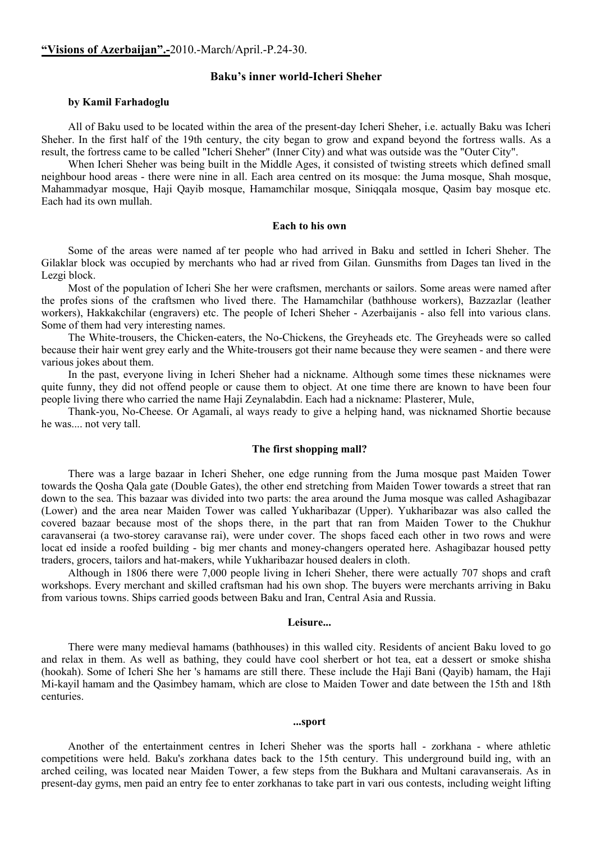# **Baku's inner world-Icheri Sheher**

### **by Kamil Farhadoglu**

All of Baku used to be located within the area of the present-day Icheri Sheher, i.e. actually Baku was Icheri Sheher. In the first half of the 19th century, the city began to grow and expand beyond the fortress walls. As a result, the fortress came to be called "Icheri Sheher" (Inner City) and what was outside was the "Outer City".

When Icheri Sheher was being built in the Middle Ages, it consisted of twisting streets which defined small neighbour hood areas - there were nine in all. Each area centred on its mosque: the Juma mosque, Shah mosque, Mahammadyar mosque, Haji Qayib mosque, Hamamchilar mosque, Siniqqala mosque, Qasim bay mosque etc. Each had its own mullah.

### **Each to his own**

Some of the areas were named af ter people who had arrived in Baku and settled in Icheri Sheher. The Gilaklar block was occupied by merchants who had ar rived from Gilan. Gunsmiths from Dages tan lived in the Lezgi block.

Most of the population of Icheri She her were craftsmen, merchants or sailors. Some areas were named after the profes sions of the craftsmen who lived there. The Hamamchilar (bathhouse workers), Bazzazlar (leather workers), Hakkakchilar (engravers) etc. The people of Icheri Sheher - Azerbaijanis - also fell into various clans. Some of them had very interesting names.

The White-trousers, the Chicken-eaters, the No-Chickens, the Greyheads etc. The Greyheads were so called because their hair went grey early and the White-trousers got their name because they were seamen - and there were various jokes about them.

In the past, everyone living in Icheri Sheher had a nickname. Although some times these nicknames were quite funny, they did not offend people or cause them to object. At one time there are known to have been four people living there who carried the name Haji Zeynalabdin. Each had a nickname: Plasterer, Mule,

Thank-you, No-Cheese. Or Agamali, al ways ready to give a helping hand, was nicknamed Shortie because he was.... not very tall.

### **The first shopping mall?**

There was a large bazaar in Icheri Sheher, one edge running from the Juma mosque past Maiden Tower towards the Qosha Qala gate (Double Gates), the other end stretching from Maiden Tower towards a street that ran down to the sea. This bazaar was divided into two parts: the area around the Juma mosque was called Ashagibazar (Lower) and the area near Maiden Tower was called Yukharibazar (Upper). Yukharibazar was also called the covered bazaar because most of the shops there, in the part that ran from Maiden Tower to the Chukhur caravanserai (a two-storey caravanse rai), were under cover. The shops faced each other in two rows and were locat ed inside a roofed building - big mer chants and money-changers operated here. Ashagibazar housed petty traders, grocers, tailors and hat-makers, while Yukharibazar housed dealers in cloth.

Although in 1806 there were 7,000 people living in Icheri Sheher, there were actually 707 shops and craft workshops. Every merchant and skilled craftsman had his own shop. The buyers were merchants arriving in Baku from various towns. Ships carried goods between Baku and Iran, Central Asia and Russia.

### **Leisure...**

There were many medieval hamams (bathhouses) in this walled city. Residents of ancient Baku loved to go and relax in them. As well as bathing, they could have cool sherbert or hot tea, eat a dessert or smoke shisha (hookah). Some of Icheri She her 's hamams are still there. These include the Haji Bani (Qayib) hamam, the Haji Mi-kayil hamam and the Qasimbey hamam, which are close to Maiden Tower and date between the 15th and 18th centuries.

#### **...sport**

Another of the entertainment centres in Icheri Sheher was the sports hall - zorkhana - where athletic competitions were held. Baku's zorkhana dates back to the 15th century. This underground build ing, with an arched ceiling, was located near Maiden Tower, a few steps from the Bukhara and Multani caravanserais. As in present-day gyms, men paid an entry fee to enter zorkhanas to take part in vari ous contests, including weight lifting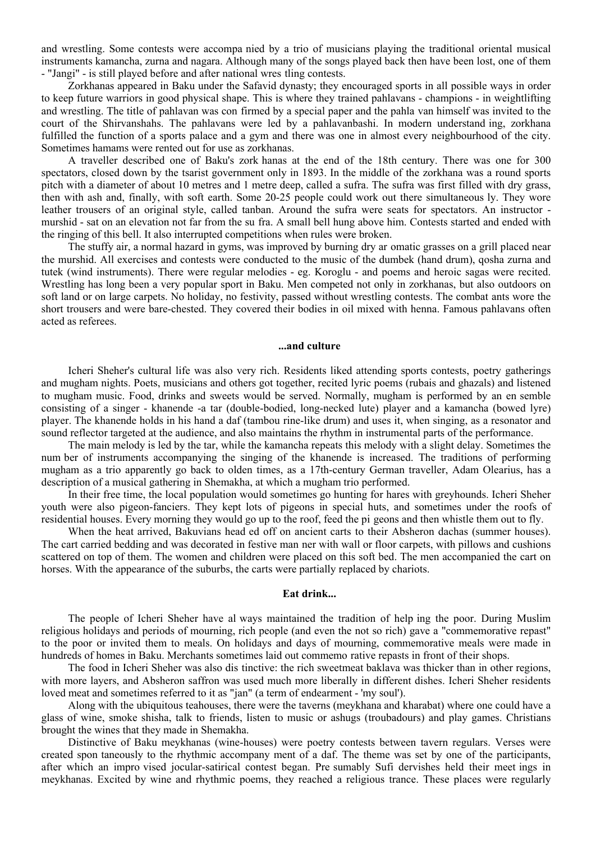and wrestling. Some contests were accompa nied by a trio of musicians playing the traditional oriental musical instruments kamancha, zurna and nagara. Although many of the songs played back then have been lost, one of them - "Jangi" - is still played before and after national wres tling contests.

Zorkhanas appeared in Baku under the Safavid dynasty; they encouraged sports in all possible ways in order to keep future warriors in good physical shape. This is where they trained pahlavans - champions - in weightlifting and wrestling. The title of pahlavan was con firmed by a special paper and the pahla van himself was invited to the court of the Shirvanshahs. The pahlavans were led by a pahlavanbashi. In modern understand ing, zorkhana fulfilled the function of a sports palace and a gym and there was one in almost every neighbourhood of the city. Sometimes hamams were rented out for use as zorkhanas.

A traveller described one of Baku's zork hanas at the end of the 18th century. There was one for 300 spectators, closed down by the tsarist government only in 1893. In the middle of the zorkhana was a round sports pitch with a diameter of about 10 metres and 1 metre deep, called a sufra. The sufra was first filled with dry grass, then with ash and, finally, with soft earth. Some 20-25 people could work out there simultaneous ly. They wore leather trousers of an original style, called tanban. Around the sufra were seats for spectators. An instructor murshid - sat on an elevation not far from the su fra. A small bell hung above him. Contests started and ended with the ringing of this bell. It also interrupted competitions when rules were broken.

The stuffy air, a normal hazard in gyms, was improved by burning dry ar omatic grasses on a grill placed near the murshid. All exercises and contests were conducted to the music of the dumbek (hand drum), qosha zurna and tutek (wind instruments). There were regular melodies - eg. Koroglu - and poems and heroic sagas were recited. Wrestling has long been a very popular sport in Baku. Men competed not only in zorkhanas, but also outdoors on soft land or on large carpets. No holiday, no festivity, passed without wrestling contests. The combat ants wore the short trousers and were bare-chested. They covered their bodies in oil mixed with henna. Famous pahlavans often acted as referees.

#### **...and culture**

Icheri Sheher's cultural life was also very rich. Residents liked attending sports contests, poetry gatherings and mugham nights. Poets, musicians and others got together, recited lyric poems (rubais and ghazals) and listened to mugham music. Food, drinks and sweets would be served. Normally, mugham is performed by an en semble consisting of a singer - khanende -a tar (double-bodied, long-necked lute) player and a kamancha (bowed lyre) player. The khanende holds in his hand a daf (tambou rine-like drum) and uses it, when singing, as a resonator and sound reflector targeted at the audience, and also maintains the rhythm in instrumental parts of the performance.

The main melody is led by the tar, while the kamancha repeats this melody with a slight delay. Sometimes the num ber of instruments accompanying the singing of the khanende is increased. The traditions of performing mugham as a trio apparently go back to olden times, as a 17th-century German traveller, Adam Olearius, has a description of a musical gathering in Shemakha, at which a mugham trio performed.

In their free time, the local population would sometimes go hunting for hares with greyhounds. Icheri Sheher youth were also pigeon-fanciers. They kept lots of pigeons in special huts, and sometimes under the roofs of residential houses. Every morning they would go up to the roof, feed the pi geons and then whistle them out to fly.

When the heat arrived, Bakuvians head ed off on ancient carts to their Absheron dachas (summer houses). The cart carried bedding and was decorated in festive man ner with wall or floor carpets, with pillows and cushions scattered on top of them. The women and children were placed on this soft bed. The men accompanied the cart on horses. With the appearance of the suburbs, the carts were partially replaced by chariots.

# **Eat drink...**

The people of Icheri Sheher have al ways maintained the tradition of help ing the poor. During Muslim religious holidays and periods of mourning, rich people (and even the not so rich) gave a "commemorative repast" to the poor or invited them to meals. On holidays and days of mourning, commemorative meals were made in hundreds of homes in Baku. Merchants sometimes laid out commemo rative repasts in front of their shops.

The food in Icheri Sheher was also dis tinctive: the rich sweetmeat baklava was thicker than in other regions, with more layers, and Absheron saffron was used much more liberally in different dishes. Icheri Sheher residents loved meat and sometimes referred to it as "jan" (a term of endearment - 'my soul').

Along with the ubiquitous teahouses, there were the taverns (meykhana and kharabat) where one could have a glass of wine, smoke shisha, talk to friends, listen to music or ashugs (troubadours) and play games. Christians brought the wines that they made in Shemakha.

Distinctive of Baku meykhanas (wine-houses) were poetry contests between tavern regulars. Verses were created spon taneously to the rhythmic accompany ment of a daf. The theme was set by one of the participants, after which an impro vised jocular-satirical contest began. Pre sumably Sufi dervishes held their meet ings in meykhanas. Excited by wine and rhythmic poems, they reached a religious trance. These places were regularly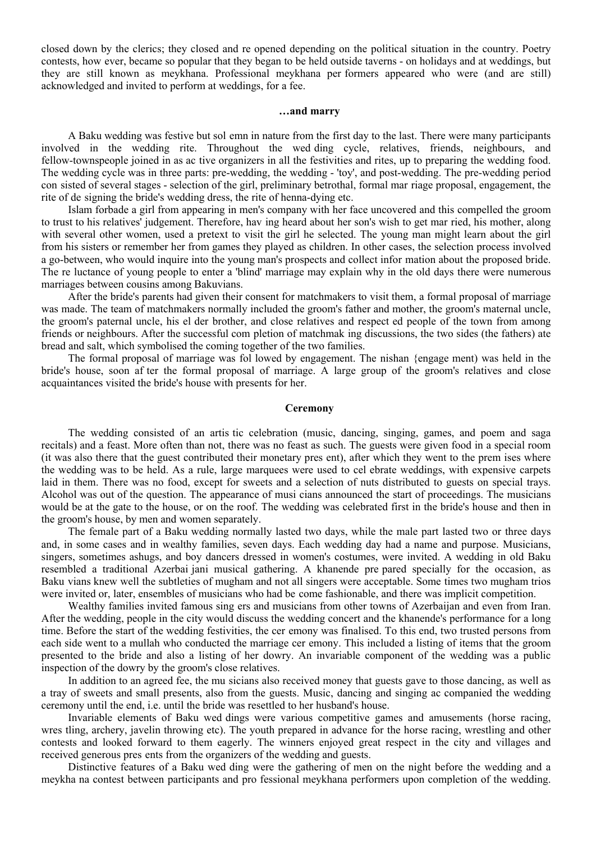closed down by the clerics; they closed and re opened depending on the political situation in the country. Poetry contests, how ever, became so popular that they began to be held outside taverns - on holidays and at weddings, but they are still known as meykhana. Professional meykhana per formers appeared who were (and are still) acknowledged and invited to perform at weddings, for a fee.

### **…and marry**

A Baku wedding was festive but sol emn in nature from the first day to the last. There were many participants involved in the wedding rite. Throughout the wed ding cycle, relatives, friends, neighbours, and fellow-townspeople joined in as ac tive organizers in all the festivities and rites, up to preparing the wedding food. The wedding cycle was in three parts: pre-wedding, the wedding - 'toy', and post-wedding. The pre-wedding period con sisted of several stages - selection of the girl, preliminary betrothal, formal mar riage proposal, engagement, the rite of de signing the bride's wedding dress, the rite of henna-dying etc.

Islam forbade a girl from appearing in men's company with her face uncovered and this compelled the groom to trust to his relatives' judgement. Therefore, hav ing heard about her son's wish to get mar ried, his mother, along with several other women, used a pretext to visit the girl he selected. The young man might learn about the girl from his sisters or remember her from games they played as children. In other cases, the selection process involved a go-between, who would inquire into the young man's prospects and collect infor mation about the proposed bride. The re luctance of young people to enter a 'blind' marriage may explain why in the old days there were numerous marriages between cousins among Bakuvians.

After the bride's parents had given their consent for matchmakers to visit them, a formal proposal of marriage was made. The team of matchmakers normally included the groom's father and mother, the groom's maternal uncle, the groom's paternal uncle, his el der brother, and close relatives and respect ed people of the town from among friends or neighbours. After the successful com pletion of matchmak ing discussions, the two sides (the fathers) ate bread and salt, which symbolised the coming together of the two families.

The formal proposal of marriage was fol lowed by engagement. The nishan {engage ment) was held in the bride's house, soon af ter the formal proposal of marriage. A large group of the groom's relatives and close acquaintances visited the bride's house with presents for her.

#### **Ceremony**

The wedding consisted of an artis tic celebration (music, dancing, singing, games, and poem and saga recitals) and a feast. More often than not, there was no feast as such. The guests were given food in a special room (it was also there that the guest contributed their monetary pres ent), after which they went to the prem ises where the wedding was to be held. As a rule, large marquees were used to cel ebrate weddings, with expensive carpets laid in them. There was no food, except for sweets and a selection of nuts distributed to guests on special trays. Alcohol was out of the question. The appearance of musi cians announced the start of proceedings. The musicians would be at the gate to the house, or on the roof. The wedding was celebrated first in the bride's house and then in the groom's house, by men and women separately.

The female part of a Baku wedding normally lasted two days, while the male part lasted two or three days and, in some cases and in wealthy families, seven days. Each wedding day had a name and purpose. Musicians, singers, sometimes ashugs, and boy dancers dressed in women's costumes, were invited. A wedding in old Baku resembled a traditional Azerbai jani musical gathering. A khanende pre pared specially for the occasion, as Baku vians knew well the subtleties of mugham and not all singers were acceptable. Some times two mugham trios were invited or, later, ensembles of musicians who had be come fashionable, and there was implicit competition.

Wealthy families invited famous sing ers and musicians from other towns of Azerbaijan and even from Iran. After the wedding, people in the city would discuss the wedding concert and the khanende's performance for a long time. Before the start of the wedding festivities, the cer emony was finalised. To this end, two trusted persons from each side went to a mullah who conducted the marriage cer emony. This included a listing of items that the groom presented to the bride and also a listing of her dowry. An invariable component of the wedding was a public inspection of the dowry by the groom's close relatives.

In addition to an agreed fee, the mu sicians also received money that guests gave to those dancing, as well as a tray of sweets and small presents, also from the guests. Music, dancing and singing ac companied the wedding ceremony until the end, i.e. until the bride was resettled to her husband's house.

Invariable elements of Baku wed dings were various competitive games and amusements (horse racing, wres tling, archery, javelin throwing etc). The youth prepared in advance for the horse racing, wrestling and other contests and looked forward to them eagerly. The winners enjoyed great respect in the city and villages and received generous pres ents from the organizers of the wedding and guests.

Distinctive features of a Baku wed ding were the gathering of men on the night before the wedding and a meykha na contest between participants and pro fessional meykhana performers upon completion of the wedding.